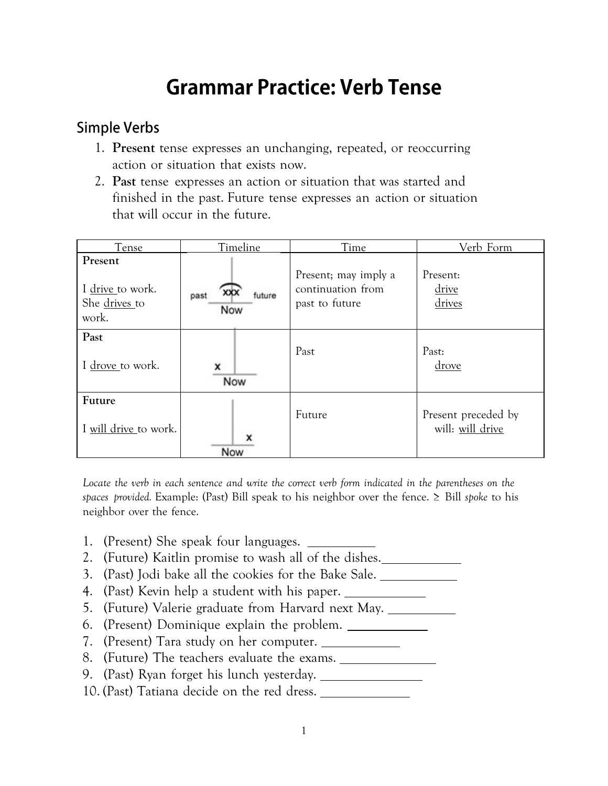# **Grammar Practice: Verb Tense**

# **Simple Verbs**

- 1. **Present** tense expresses an unchanging, repeated, or reoccurring action or situation that exists now.
- 2. **Past** tense expresses an action or situation that was started and finished in the past. Future tense expresses an action or situation that will occur in the future.

| Tense                                                 | Timeline                     | Time                                                        | Verb Form                               |
|-------------------------------------------------------|------------------------------|-------------------------------------------------------------|-----------------------------------------|
| Present<br>I drive to work.<br>She drives to<br>work. | future<br>XХX<br>past<br>Now | Present; may imply a<br>continuation from<br>past to future | Present:<br>drive<br>drives             |
| Past<br>I drove to work.                              | x<br>Now                     | Past                                                        | Past:<br>drove                          |
| Future<br>I will drive to work.                       | Now                          | Future                                                      | Present preceded by<br>will: will drive |

Locate the verb in each sentence and write the correct verb form indicated in the parentheses on the *spaces provided.* Example: (Past) Bill speak to his neighbor over the fence. ≥ Bill *spoke* to his neighbor over the fence.

- 1. (Present) She speak four languages.
- 2. (Future) Kaitlin promise to wash all of the dishes.
- 3. (Past) Jodi bake all the cookies for the Bake Sale.
- 4. (Past) Kevin help a student with his paper.
- 5. (Future) Valerie graduate from Harvard next May.
- 6. (Present) Dominique explain the problem.
- 7. (Present) Tara study on her computer.
- 8. (Future) The teachers evaluate the exams.
- 9. (Past) Ryan forget his lunch yesterday.
- 10. (Past) Tatiana decide on the red dress.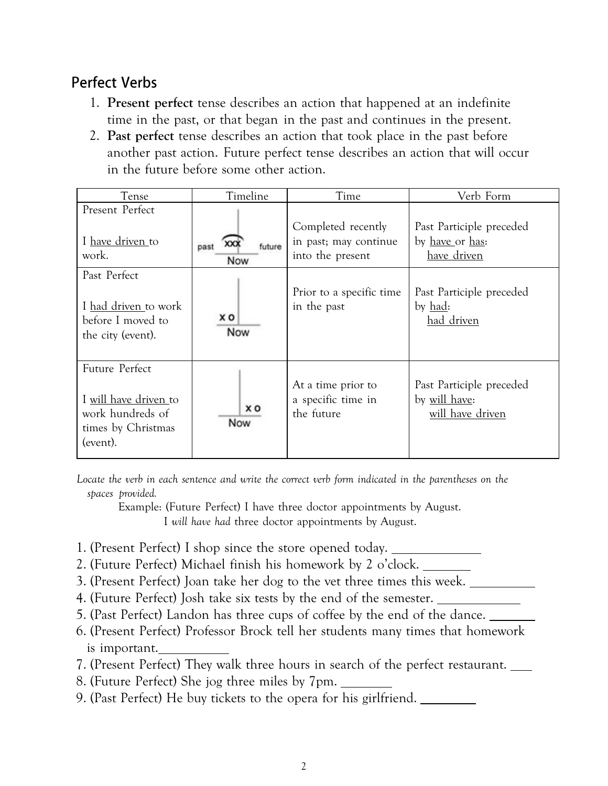# **Perfect Verbs**

- 1. **Present perfect** tense describes an action that happened at an indefinite time in the past, or that began in the past and continues in the present.
- 2. **Past perfect** tense describes an action that took place in the past before another past action. Future perfect tense describes an action that will occur in the future before some other action.

| Tense                                                                                         | Timeline                     | Time                                                            | Verb Form                                                             |
|-----------------------------------------------------------------------------------------------|------------------------------|-----------------------------------------------------------------|-----------------------------------------------------------------------|
| Present Perfect                                                                               |                              |                                                                 |                                                                       |
| I <u>have driven t</u> o<br>work.                                                             | XXX<br>future<br>past<br>Now | Completed recently<br>in past; may continue<br>into the present | Past Participle preceded<br>by <u>have</u> or has:<br>have driven     |
| Past Perfect                                                                                  |                              |                                                                 |                                                                       |
| I had driven to work<br>before I moved to<br>the city (event).                                | xо<br>Now                    | Prior to a specific time.<br>in the past                        | Past Participle preceded<br>by <u>had</u> :<br>had driven             |
| Future Perfect<br>I will have driven to<br>work hundreds of<br>times by Christmas<br>(event). | xо<br>Now                    | At a time prior to<br>a specific time in<br>the future          | Past Participle preceded<br>by <u>will have</u> :<br>will have driven |

Locate the verb in each sentence and write the correct verb form indicated in the parentheses on the *spaces provided.*

Example: (Future Perfect) I have three doctor appointments by August. I *will have had* three doctor appointments by August.

- 1. (Present Perfect) I shop since the store opened today.
- 2. (Future Perfect) Michael finish his homework by 2 o'clock.
- 3. (Present Perfect) Joan take her dog to the vet three times this week.
- 4. (Future Perfect) Josh take six tests by the end of the semester.
- 5. (Past Perfect) Landon has three cups of coffee by the end of the dance.
- 6. (Present Perfect) Professor Brock tell her students many times that homework is important.
- 7. (Present Perfect) They walk three hours in search of the perfect restaurant.
- 8. (Future Perfect) She jog three miles by 7pm.
- 9. (Past Perfect) He buy tickets to the opera for his girlfriend.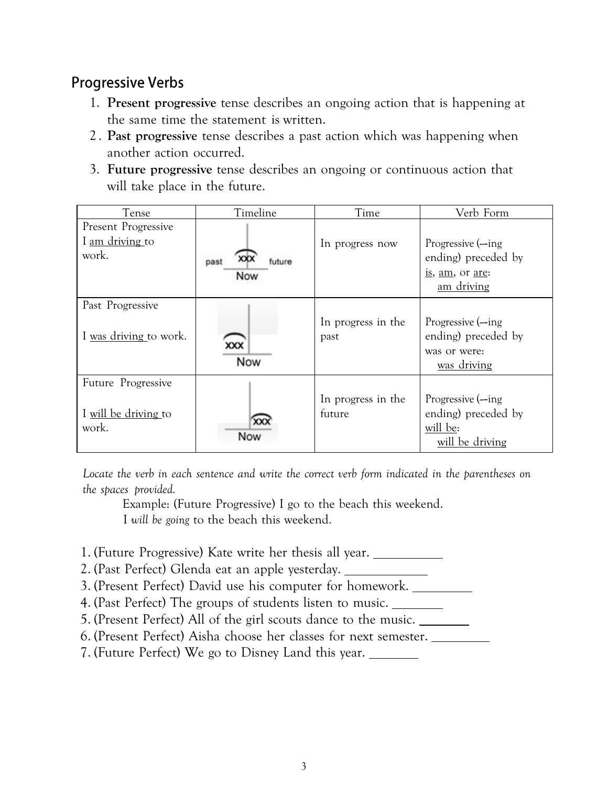# **Progressive Verbs**

- 1. **Present progressive** tense describes an ongoing action that is happening at the same time the statement is written.
- 2 . **Past progressive** tense describes a past action which was happening when another action occurred.
- 3. **Future progressive** tense describes an ongoing or continuous action that will take place in the future.

| Tense                                               | Timeline              | Time                         | Verb Form                                                                 |
|-----------------------------------------------------|-----------------------|------------------------------|---------------------------------------------------------------------------|
| Present Progressive<br>I am driving to<br>work.     | future<br>past<br>Now | In progress now              | Progressive (-ing<br>ending) preceded by<br>is, am, or are:<br>am driving |
| Past Progressive<br>I was driving to work.          | xxx<br>Now            | In progress in the<br>past   | Progressive (-ing<br>ending) preceded by<br>was or were:<br>was driving   |
| Future Progressive<br>I will be driving to<br>work. | XX)<br>Now            | In progress in the<br>future | Progressive (-ing<br>ending) preceded by<br>will be:<br>will be driving   |

*Locate the verb in each sentence and write the correct verb form indicated in the parentheses on the spaces provided.*

Example: (Future Progressive) I go to the beach this weekend.

I *will be going* to the beach this weekend.

- 1. (Future Progressive) Kate write her thesis all year.
- 2. (Past Perfect) Glenda eat an apple yesterday.
- 3. (Present Perfect) David use his computer for homework.
- 4. (Past Perfect) The groups of students listen to music.
- 5. (Present Perfect) All of the girl scouts dance to the music.
- 6. (Present Perfect) Aisha choose her classes for next semester.
- 7. (Future Perfect) We go to Disney Land this year.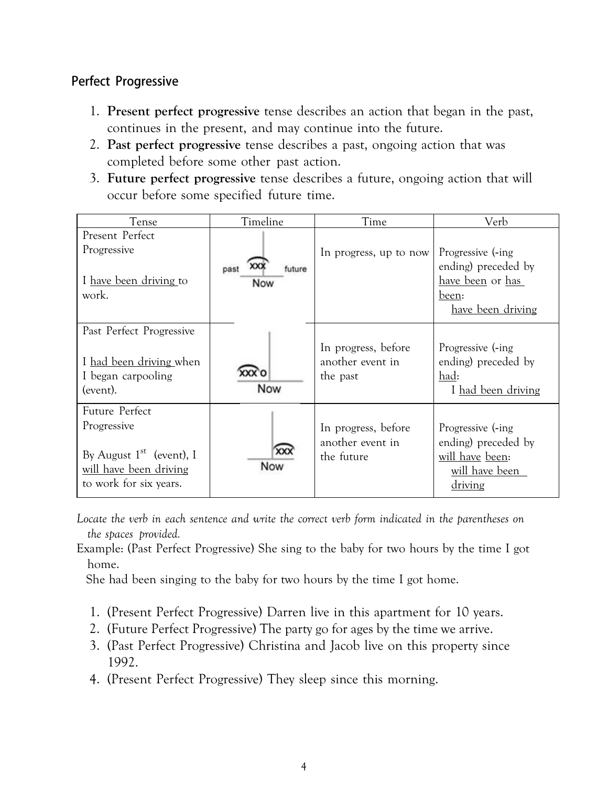## **Perfect Progressive**

- 1. **Present perfect progressive** tense describes an action that began in the past, continues in the present, and may continue into the future.
- 2. **Past perfect progressive** tense describes a past, ongoing action that was completed before some other past action.
- 3. **Future perfect progressive** tense describes a future, ongoing action that will occur before some specified future time.

| Tense                                                                                                           | Timeline                            | Time                                                  | Verb                                                                                               |
|-----------------------------------------------------------------------------------------------------------------|-------------------------------------|-------------------------------------------------------|----------------------------------------------------------------------------------------------------|
| Present Perfect<br>Progressive<br>I have been driving to<br>work.                                               | XX)<br>future<br>past<br><b>Now</b> | In progress, up to now                                | Progressive (-ing)<br>ending) preceded by<br>have been or has<br>been:<br><u>have been driving</u> |
| Past Perfect Progressive<br>I had been driving when<br>I began carpooling<br>(event).                           | Now                                 | In progress, before<br>another event in<br>the past   | Progressive (-ing)<br>ending) preceded by<br>had:<br>I had been driving                            |
| Future Perfect<br>Progressive<br>By August $1st$ (event), I<br>will have been driving<br>to work for six years. | XX)<br>Now                          | In progress, before<br>another event in<br>the future | Progressive (-ing)<br>ending) preceded by<br>will have been:<br>will have been<br>driving          |

*Locate the verb in each sentence and write the correct verb form indicated in the parentheses on the spaces provided.*

Example: (Past Perfect Progressive) She sing to the baby for two hours by the time I got home.

She had been singing to the baby for two hours by the time I got home.

- 1. (Present Perfect Progressive) Darren live in this apartment for 10 years.
- 2. (Future Perfect Progressive) The party go for ages by the time we arrive.
- 3. (Past Perfect Progressive) Christina and Jacob live on this property since 1992.
- 4. (Present Perfect Progressive) They sleep since this morning.